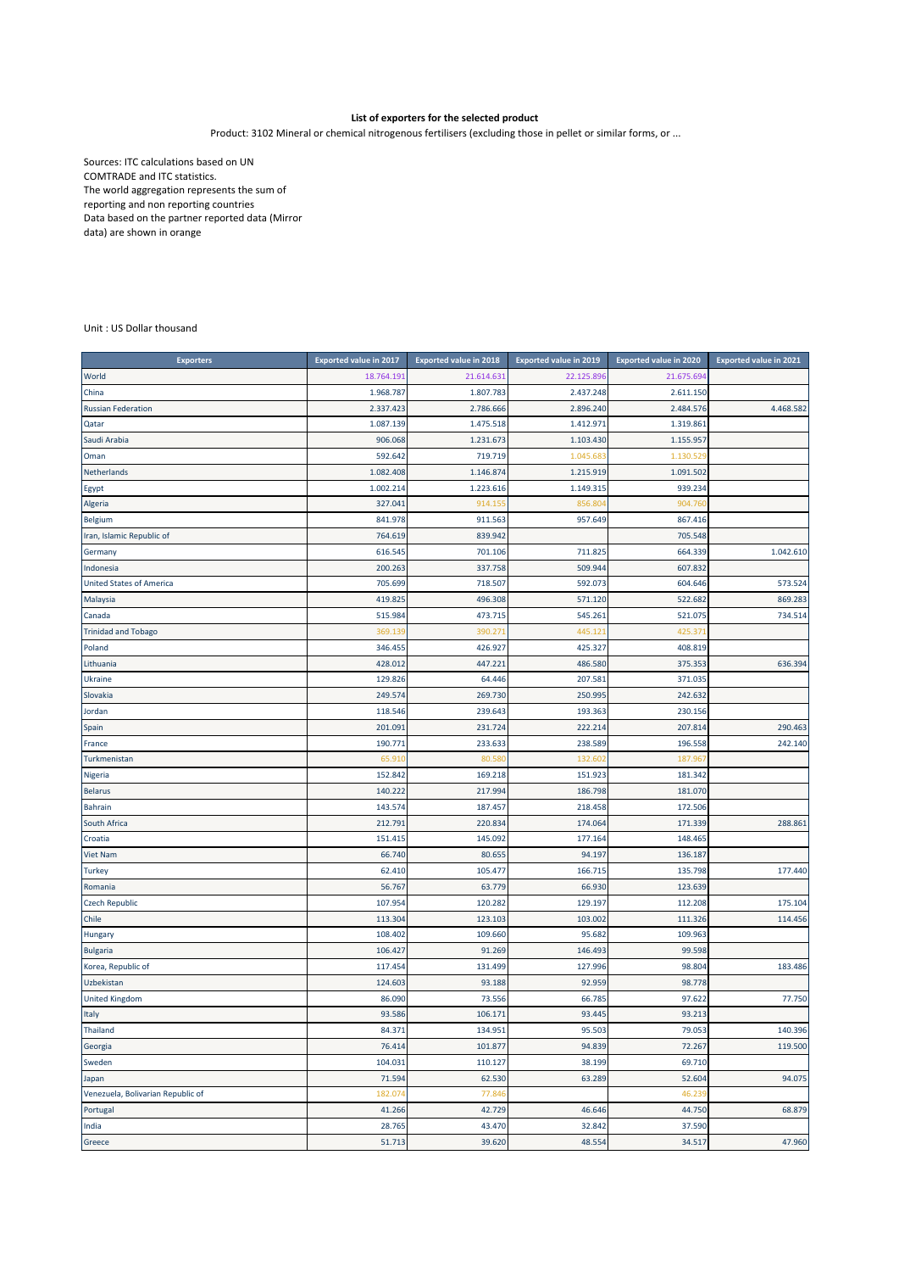## **List of exporters for the selected product**

Product: 3102 Mineral or chemical nitrogenous fertilisers (excluding those in pellet or similar forms, or ...

Sources: ITC calculations based on UN COMTRADE and ITC statistics. The world aggregation represents the sum of reporting and non reporting countries Data based on the partner reported data (Mirror data) are shown in orange

Unit : US Dollar thousand

| <b>Exporters</b>                  | <b>Exported value in 2017</b> | Exported value in 2018 | <b>Exported value in 2019</b> | <b>Exported value in 2020</b> | <b>Exported value in 2021</b> |
|-----------------------------------|-------------------------------|------------------------|-------------------------------|-------------------------------|-------------------------------|
| World                             | 18.764.191                    | 21.614.63              | 22.125.896                    | 21.675.694                    |                               |
| China                             | 1.968.787                     | 1.807.783              | 2.437.248                     | 2.611.150                     |                               |
| <b>Russian Federation</b>         | 2.337.423                     | 2.786.666              | 2.896.240                     | 2.484.576                     | 4.468.582                     |
| Qatar                             | 1.087.139                     | 1.475.518              | 1.412.971                     | 1.319.861                     |                               |
| Saudi Arabia                      | 906.068                       | 1.231.673              | 1.103.430                     | 1.155.957                     |                               |
| Oman                              | 592.642                       | 719.719                | 1.045.683                     | 1.130.52                      |                               |
| Netherlands                       | 1.082.408                     | 1.146.874              | 1.215.919                     | 1.091.502                     |                               |
| Egypt                             | 1.002.214                     | 1.223.616              | 1.149.315                     | 939.234                       |                               |
| Algeria                           | 327.041                       | 914.15                 | 856.80                        | 904.76                        |                               |
| <b>Belgium</b>                    | 841.978                       | 911.563                | 957.649                       | 867.416                       |                               |
| Iran, Islamic Republic of         | 764.619                       | 839.942                |                               | 705.548                       |                               |
| Germany                           | 616.545                       | 701.106                | 711.825                       | 664.339                       | 1.042.610                     |
| Indonesia                         | 200.263                       | 337.758                | 509.944                       | 607.832                       |                               |
| <b>United States of America</b>   | 705.699                       | 718.507                | 592.073                       | 604.646                       | 573.524                       |
| Malaysia                          | 419.825                       | 496.308                | 571.120                       | 522.682                       | 869.283                       |
| Canada                            | 515.984                       | 473.715                | 545.261                       | 521.075                       | 734.514                       |
| <b>Trinidad and Tobago</b>        | 369.13                        | 390.27                 | 445.121                       | 425.37                        |                               |
| Poland                            | 346.455                       | 426.927                | 425.327                       | 408.819                       |                               |
| Lithuania                         | 428.012                       | 447.221                | 486.580                       | 375.353                       | 636.394                       |
| Ukraine                           | 129.826                       | 64.446                 | 207.581                       | 371.035                       |                               |
| Slovakia                          | 249.574                       | 269.730                | 250.995                       | 242.632                       |                               |
| Jordan                            | 118.546                       | 239.643                | 193.363                       | 230.156                       |                               |
| Spain                             | 201.091                       | 231.724                | 222.214                       | 207.814                       | 290.463                       |
| France                            | 190.771                       | 233.633                | 238.589                       | 196.558                       | 242.140                       |
| Turkmenistan                      | 65.91                         | 80.58                  | 132.602                       | 187.967                       |                               |
| Nigeria                           | 152.842                       | 169.218                | 151.923                       | 181.342                       |                               |
| <b>Belarus</b>                    | 140.222                       | 217.994                | 186.798                       | 181.070                       |                               |
| <b>Bahrain</b>                    | 143.574                       | 187.457                | 218.458                       | 172.506                       |                               |
| South Africa                      | 212.791                       | 220.834                | 174.064                       | 171.339                       | 288.861                       |
| Croatia                           | 151.41                        | 145.09                 | 177.164                       | 148.465                       |                               |
| Viet Nam                          | 66.740                        | 80.655                 | 94.197                        | 136.187                       |                               |
| <b>Turkey</b>                     | 62.410                        | 105.477                | 166.715                       | 135.798                       | 177.440                       |
| Romania                           | 56.767                        | 63.779                 | 66.930                        | 123.639                       |                               |
| <b>Czech Republic</b>             | 107.954                       | 120.282                | 129.197                       | 112.208                       | 175.104                       |
| Chile                             | 113.304                       | 123.103                | 103.002                       | 111.326                       | 114.456                       |
| Hungary                           | 108.402                       | 109.660                | 95.682                        | 109.963                       |                               |
| <b>Bulgaria</b>                   | 106.427                       | 91.269                 | 146.493                       | 99.598                        |                               |
| Korea, Republic of                | 117.454                       | 131.499                | 127.996                       | 98.804                        | 183.486                       |
| Uzbekistan                        | 124.603                       | 93.188                 | 92.959                        | 98.778                        |                               |
| <b>United Kingdom</b>             | 86.090                        | 73.556                 | 66.785                        | 97.622                        | 77.750                        |
| Italy                             | 93.586                        | 106.171                | 93.445                        | 93.213                        |                               |
| Thailand                          | 84.371                        | 134.951                | 95.503                        | 79.053                        | 140.396                       |
| Georgia                           | 76.414                        | 101.877                | 94.839                        | 72.267                        | 119.500                       |
| Sweden                            | 104.031                       | 110.127                | 38.199                        | 69.710                        |                               |
| Japan                             | 71.594                        | 62.530                 | 63.289                        | 52.604                        | 94.075                        |
| Venezuela, Bolivarian Republic of | 182.074                       | 77.846                 |                               | 46.239                        |                               |
| Portugal                          | 41.266                        | 42.729                 | 46.646                        | 44.750                        | 68.879                        |
| India                             | 28.765                        | 43.470                 | 32.842                        | 37.590                        |                               |
| Greece                            | 51.713                        | 39.620                 | 48.554                        | 34.517                        | 47.960                        |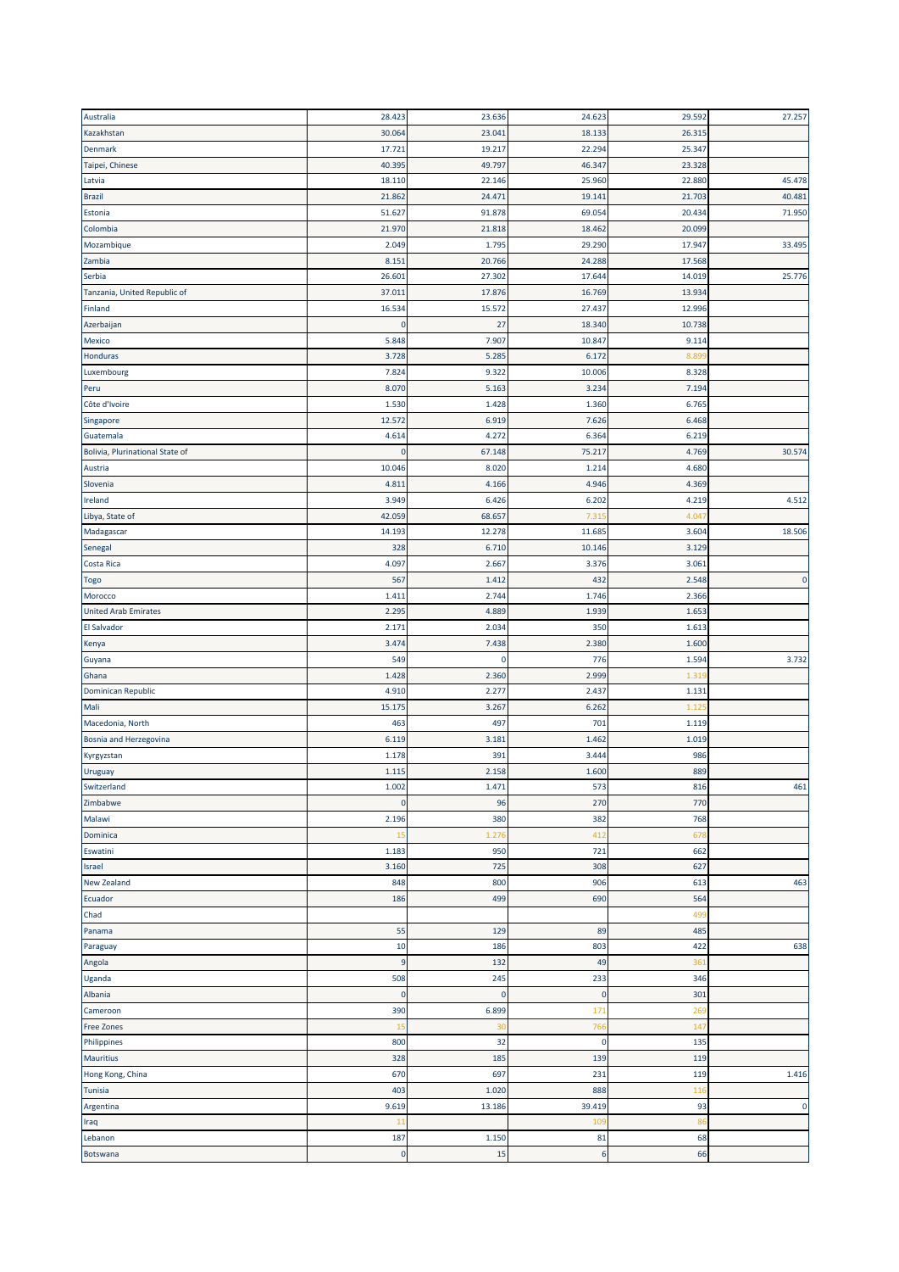| Australia                       | 28.423               | 23.636    | 24.623    | 29.592 | 27.257      |
|---------------------------------|----------------------|-----------|-----------|--------|-------------|
| Kazakhstan                      | 30.064               | 23.041    | 18.133    | 26.315 |             |
| Denmark                         | 17.721               | 19.217    | 22.294    | 25.347 |             |
| Taipei, Chinese                 | 40.395               | 49.797    | 46.347    | 23.328 |             |
| Latvia                          | 18.110               | 22.146    | 25.960    | 22.880 | 45.478      |
| <b>Brazil</b>                   | 21.862               | 24.471    | 19.141    | 21.703 | 40.481      |
| Estonia                         | 51.627               | 91.878    | 69.054    | 20.434 | 71.950      |
| Colombia                        | 21.970               | 21.818    | 18.462    | 20.099 |             |
| Mozambique                      | 2.049                | 1.795     | 29.290    | 17.947 | 33.495      |
| Zambia                          | 8.151                | 20.766    | 24.288    | 17.568 |             |
| Serbia                          | 26.601               | 27.302    | 17.644    | 14.019 | 25.776      |
| Tanzania, United Republic of    | 37.011               | 17.876    | 16.769    | 13.934 |             |
| Finland                         | 16.534               | 15.572    | 27.437    | 12.996 |             |
| Azerbaijan                      | $\Omega$             | 27        | 18.340    | 10.738 |             |
| <b>Mexico</b>                   | 5.848                | 7.907     | 10.847    | 9.114  |             |
| Honduras                        | 3.728                | 5.285     | 6.172     | 8.89   |             |
| Luxembourg                      | 7.824                | 9.322     | 10.006    | 8.328  |             |
| Peru                            | 8.070                | 5.163     | 3.234     | 7.194  |             |
| Côte d'Ivoire                   | 1.530                | 1.428     | 1.360     | 6.765  |             |
|                                 | 12.572               | 6.919     | 7.626     | 6.468  |             |
| Singapore                       |                      |           |           |        |             |
| Guatemala                       | 4.614<br>$\mathbf 0$ | 4.272     | 6.364     | 6.219  |             |
| Bolivia, Plurinational State of |                      | 67.148    | 75.217    | 4.769  | 30.574      |
| Austria                         | 10.046               | 8.020     | 1.214     | 4.680  |             |
| Slovenia                        | 4.811                | 4.166     | 4.946     | 4.369  |             |
| Ireland                         | 3.949                | 6.426     | 6.202     | 4.219  | 4.512       |
| Libya, State of                 | 42.059               | 68.657    | 7.315     | 4.04   |             |
| Madagascar                      | 14.193               | 12.278    | 11.685    | 3.604  | 18.506      |
| Senegal                         | 328                  | 6.710     | 10.146    | 3.129  |             |
| Costa Rica                      | 4.097                | 2.667     | 3.376     | 3.061  |             |
| <b>Togo</b>                     | 567                  | 1.412     | 432       | 2.548  | $\mathbf 0$ |
| Morocco                         | 1.411                | 2.744     | 1.746     | 2.366  |             |
| <b>United Arab Emirates</b>     | 2.295                | 4.889     | 1.939     | 1.653  |             |
| El Salvador                     | 2.171                | 2.034     | 350       | 1.613  |             |
| Kenya                           | 3.474                | 7.438     | 2.380     | 1.600  |             |
| Guyana                          | 549                  | 0         | 776       | 1.594  | 3.732       |
| Ghana                           | 1.428                | 2.360     | 2.999     | 1.31   |             |
| <b>Dominican Republic</b>       | 4.910                | 2.277     | 2.437     | 1.131  |             |
| Mali                            | 15.175               | 3.267     | 6.262     | 1.12   |             |
| Macedonia, North                | 463                  | 497       | 701       | 1.119  |             |
| Bosnia and Herzegovina          | 6.119                | 3.181     | 1.462     | 1.019  |             |
| Kyrgyzstan                      | 1.178                | 391       | 3.444     | 986    |             |
| Uruguay                         | 1.115                | 2.158     | 1.600     | 889    |             |
| Switzerland                     | 1.002                | 1.471     | 573       | 816    | 461         |
| Zimbabwe                        | $\bf{0}$             | 96        | 270       | 770    |             |
| Malawi                          | 2.196                | 380       | 382       | 768    |             |
| Dominica                        | 15                   | 1.276     | 412       | 678    |             |
| Eswatini                        | 1.183                | 950       | 721       | 662    |             |
| Israel                          | 3.160                | 725       | 308       | 627    |             |
| <b>New Zealand</b>              | 848                  | 800       | 906       | 613    | 463         |
| Ecuador                         | 186                  | 499       | 690       | 564    |             |
| Chad                            |                      |           |           | 499    |             |
| Panama                          | 55                   | 129       | 89        | 485    |             |
| Paraguay                        | 10                   | 186       | 803       | 422    | 638         |
| Angola                          | $\boldsymbol{9}$     | 132       | 49        | 361    |             |
| Uganda                          | 508                  | 245       | 233       | 346    |             |
| Albania                         | $\pmb{0}$            | $\pmb{0}$ | $\pmb{0}$ | 301    |             |
| Cameroon                        | 390                  | 6.899     | 171       | 269    |             |
| <b>Free Zones</b>               | 15                   | 30        | 766       | 147    |             |
|                                 |                      |           |           |        |             |
| Philippines                     | 800                  | 32        | $\pmb{0}$ | 135    |             |
| <b>Mauritius</b>                | 328                  | 185       | 139       | 119    |             |
| Hong Kong, China                | 670                  | 697       | 231       | 119    | 1.416       |
| <b>Tunisia</b>                  | 403                  | 1.020     | 888       | 116    |             |
| Argentina                       | 9.619                | 13.186    | 39.419    | 93     | $\mathbf 0$ |
| Iraq                            | 11                   |           | 109       | 86     |             |
| Lebanon                         | 187                  | 1.150     | 81        | 68     |             |
| Botswana                        | $\bf 0$              | 15        | 6         | 66     |             |